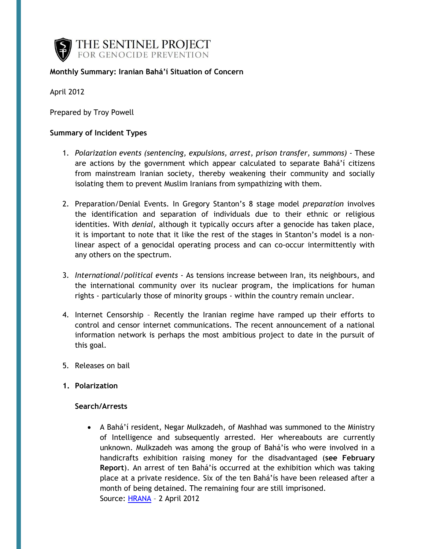

## **Monthly Summary: Iranian Bahá'í Situation of Concern**

April 2012

Prepared by Troy Powell

#### **Summary of Incident Types**

- 1. *Polarization events (sentencing, expulsions, arrest, prison transfer, summons)* These are actions by the government which appear calculated to separate Bahá'í citizens from mainstream Iranian society, thereby weakening their community and socially isolating them to prevent Muslim Iranians from sympathizing with them.
- 2. Preparation/Denial Events. In Gregory Stanton's 8 stage model *preparation* involves the identification and separation of individuals due to their ethnic or religious identities. With *denial,* although it typically occurs after a genocide has taken place, it is important to note that it like the rest of the stages in Stanton's model is a nonlinear aspect of a genocidal operating process and can co-occur intermittently with any others on the spectrum.
- 3. *International/political events* As tensions increase between Iran, its neighbours, and the international community over its nuclear program, the implications for human rights - particularly those of minority groups - within the country remain unclear.
- 4. Internet Censorship Recently the Iranian regime have ramped up their efforts to control and censor internet communications. The recent announcement of a national information network is perhaps the most ambitious project to date in the pursuit of this goal.
- 5. Releases on bail
- **1. Polarization**

#### **Search/Arrests**

 A Bahá'í resident, Negar Mulkzadeh, of Mashhad was summoned to the Ministry of Intelligence and subsequently arrested. Her whereabouts are currently unknown. Mulkzadeh was among the group of Bahá'ís who were involved in a handicrafts exhibition raising money for the disadvantaged (**see February Report**). An arrest of ten Bahá'ís occurred at the exhibition which was taking place at a private residence. Six of the ten Bahá'ís have been released after a month of being detained. The remaining four are still imprisoned. Source: [HRANA](http://wp.me/pNMoJ-1fl) – 2 April 2012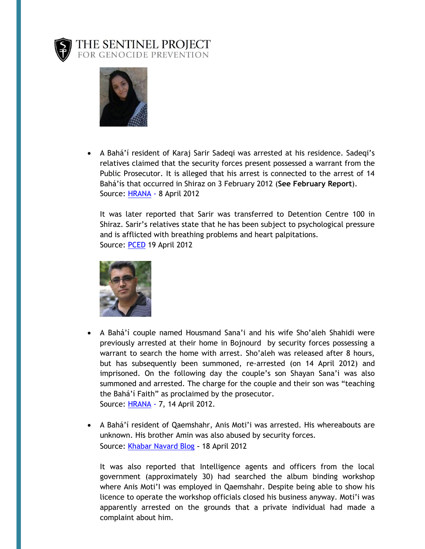

# THE SENTINEL PROJECT<br>FOR GENOCIDE PREVENTION



 A Bahá'í resident of Karaj Sarir Sadeqi was arrested at his residence. Sadeqi's relatives claimed that the security forces present possessed a warrant from the Public Prosecutor. It is alleged that his arrest is connected to the arrest of 14 Bahá'ís that occurred in Shiraz on 3 February 2012 (**See February Report**). Source: [HRANA](http://wp.me/pNMoJ-1g1) - 8 April 2012

It was later reported that Sarir was transferred to Detention Centre 100 in Shiraz. Sarir's relatives state that he has been subject to psychological pressure and is afflicted with breathing problems and heart palpitations. Source: [PCED](http://wp.me/pNMoJ-1h4) 19 April 2012



- A Bahá'í couple named Housmand Sana'i and his wife Sho'aleh Shahidi were previously arrested at their home in Bojnourd by security forces possessing a warrant to search the home with arrest. Sho'aleh was released after 8 hours, but has subsequently been summoned, re-arrested (on 14 April 2012) and imprisoned. On the following day the couple's son Shayan Sana'i was also summoned and arrested. The charge for the couple and their son was "teaching the Bahá'í Faith" as proclaimed by the prosecutor. Source: [HRANA](http://sensday.wordpress.com/2012/04/16/further-arrests-in-bojnord/) - 7, 14 April 2012.
- A Bahá'í resident of Qaemshahr, Anis Moti'i was arrested. His whereabouts are unknown. His brother Amin was also abused by security forces. Source: [Khabar Navard Blog](http://sensday.wordpress.com/2012/04/18/another-arrest-and-beating-by-security-forces-in-qaemshahr/) - 18 April 2012

It was also reported that Intelligence agents and officers from the local government (approximately 30) had searched the album binding workshop where Anis Moti'I was employed in Qaemshahr. Despite being able to show his licence to operate the workshop officials closed his business anyway. Moti'i was apparently arrested on the grounds that a private individual had made a complaint about him.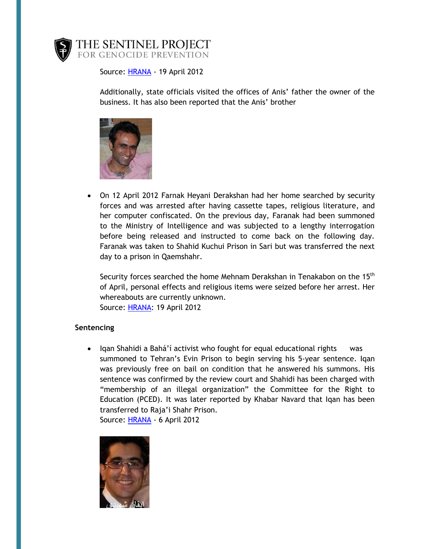

Source: [HRANA](http://wp.me/pNMoJ-1h8) - 19 April 2012

Additionally, state officials visited the offices of Anis' father the owner of the business. It has also been reported that the Anis' brother



 On 12 April 2012 Farnak Heyani Derakshan had her home searched by security forces and was arrested after having cassette tapes, religious literature, and her computer confiscated. On the previous day, Faranak had been summoned to the Ministry of Intelligence and was subjected to a lengthy interrogation before being released and instructed to come back on the following day. Faranak was taken to Shahid Kuchui Prison in Sari but was transferred the next day to a prison in Qaemshahr.

Security forces searched the home Mehnam Derakshan in Tenakabon on the 15<sup>th</sup> of April, personal effects and religious items were seized before her arrest. Her whereabouts are currently unknown. Source: [HRANA:](http://wp.me/pNMoJ-1h8) 19 April 2012

## **Sentencing**

• Igan Shahidi a Bahá'í activist who fought for equal educational rights was summoned to Tehran's Evin Prison to begin serving his 5-year sentence. Iqan was previously free on bail on condition that he answered his summons. His sentence was confirmed by the review court and Shahidi has been charged with "membership of an illegal organization" the Committee for the Right to Education (PCED). It was later reported by Khabar Navard that Iqan has been transferred to Raja'i Shahr Prison. Source: [HRANA](http://sensday.wordpress.com/2012/04/06/iqan-shahidi-to-begin-sentence/) - 6 April 2012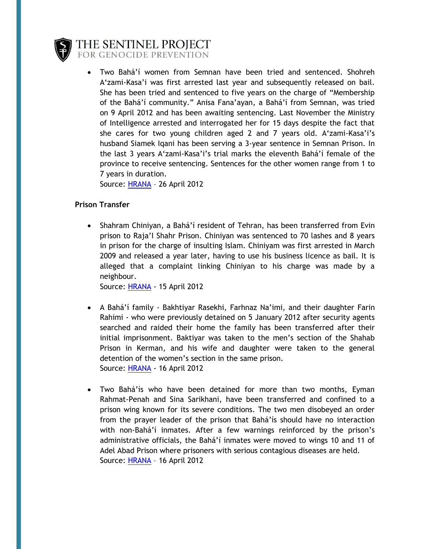

THE SENTINEL PROJECT FOR GENOCIDE PREVENTION

 Two Bahá'í women from Semnan have been tried and sentenced. Shohreh A'zami-Kasa'i was first arrested last year and subsequently released on bail. She has been tried and sentenced to five years on the charge of "Membership of the Bahá'í community." Anisa Fana'ayan, a Bahá'í from Semnan, was tried on 9 April 2012 and has been awaiting sentencing. Last November the Ministry of Intelligence arrested and interrogated her for 15 days despite the fact that she cares for two young children aged 2 and 7 years old. A'zami-Kasa'i's husband Siamek Iqani has been serving a 3-year sentence in Semnan Prison. In the last 3 years A'zami-Kasa'i's trial marks the eleventh Bahá'í female of the province to receive sentencing. Sentences for the other women range from 1 to 7 years in duration.

Source: [HRANA](http://wp.me/pNMoJ-1hx) – 26 April 2012

## **Prison Transfer**

 Shahram Chiniyan, a Bahá'í resident of Tehran, has been transferred from Evin prison to Raja'I Shahr Prison. Chiniyan was sentenced to 70 lashes and 8 years in prison for the charge of insulting Islam. Chiniyam was first arrested in March 2009 and released a year later, having to use his business licence as bail. It is alleged that a complaint linking Chiniyan to his charge was made by a neighbour.

Source: [HRANA](http://sensday.wordpress.com/2012/04/15/shahram-chiniyan-transferred-to-rajai-shahr-prison/) - 15 April 2012

- A Bahá'í family Bakhtiyar Rasekhi, Farhnaz Na'imi, and their daughter Farin Rahimi - who were previously detained on 5 January 2012 after security agents searched and raided their home the family has been transferred after their initial imprisonment. Baktiyar was taken to the men's section of the Shahab Prison in Kerman, and his wife and daughter were taken to the general detention of the women's section in the same prison. Source: [HRANA](http://wp.me/pNMoJ-1gw) - 16 April 2012
- Two Bahá'ís who have been detained for more than two months, Eyman Rahmat-Penah and Sina Sarikhani, have been transferred and confined to a prison wing known for its severe conditions. The two men disobeyed an order from the prayer leader of the prison that Bahá'ís should have no interaction with non-Bahá'í inmates. After a few warnings reinforced by the prison's administrative officials, the Bahá'í inmates were moved to wings 10 and 11 of Adel Abad Prison where prisoners with serious contagious diseases are held. Source: [HRANA](http://wp.me/pNMoJ-1gE) - 16 April 2012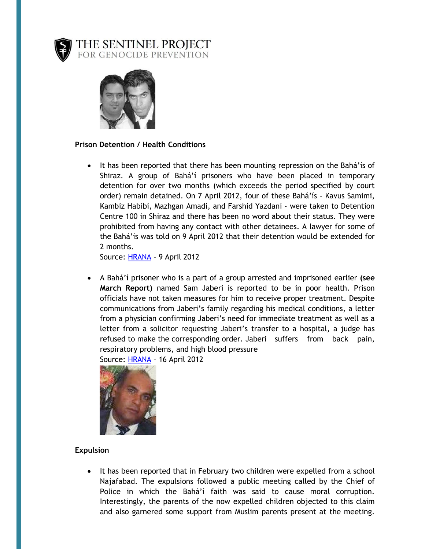

THE SENTINEL PROJECT<br>for genocide prevention



## **Prison Detention / Health Conditions**

• It has been reported that there has been mounting repression on the Bahá'ís of Shiraz. A group of Bahá'í prisoners who have been placed in temporary detention for over two months (which exceeds the period specified by court order) remain detained. On 7 April 2012, four of these Bahá'ís - Kavus Samimi, Kambiz Habibi, Mazhgan Amadi, and Farshid Yazdani - were taken to Detention Centre 100 in Shiraz and there has been no word about their status. They were prohibited from having any contact with other detainees. A lawyer for some of the Bahá'ís was told on 9 April 2012 that their detention would be extended for 2 months.

Source: [HRANA](http://wp.me/pNMoJ-1g5) – 9 April 2012

 A Bahá'í prisoner who is a part of a group arrested and imprisoned earlier **(see March Report)** named Sam Jaberi is reported to be in poor health. Prison officials have not taken measures for him to receive proper treatment. Despite communications from Jaberi's family regarding his medical conditions, a letter from a physician confirming Jaberi's need for immediate treatment as well as a letter from a solicitor requesting Jaberi's transfer to a hospital, a judge has refused to make the corresponding order. Jaberi suffers from back pain, respiratory problems, and high blood pressure

Source: [HRANA](http://wp.me/pNMoJ-1gA) – 16 April 2012



## **Expulsion**

• It has been reported that in February two children were expelled from a school Najafabad. The expulsions followed a public meeting called by the Chief of Police in which the Bahá'í faith was said to cause moral corruption. Interestingly, the parents of the now expelled children objected to this claim and also garnered some support from Muslim parents present at the meeting.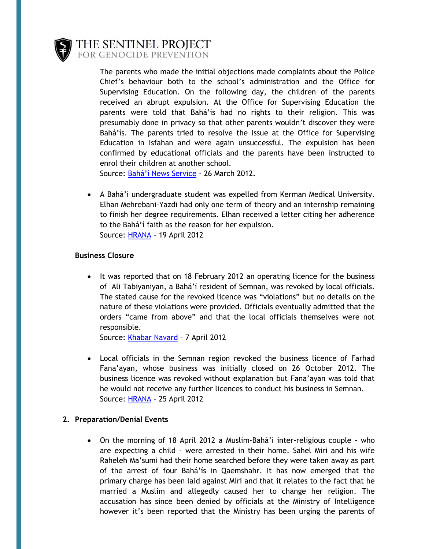

THE SENTINEL PROJECT FOR GENOCIDE PREVENTION

> The parents who made the initial objections made complaints about the Police Chief's behaviour both to the school's administration and the Office for Supervising Education. On the following day, the children of the parents received an abrupt expulsion. At the Office for Supervising Education the parents were told that Bahá'ís had no rights to their religion. This was presumably done in privacy so that other parents wouldn't discover they were Bahá'ís. The parents tried to resolve the issue at the Office for Supervising Education in Isfahan and were again unsuccessful. The expulsion has been confirmed by educational officials and the parents have been instructed to enrol their children at another school.

Source: Bahá'í [News Service](http://wp.me/pNMoJ-1fT) - 26 March 2012.

 A Bahá'í undergraduate student was expelled from Kerman Medical University. Elhan Mehrebani-Yazdi had only one term of theory and an internship remaining to finish her degree requirements. Elhan received a letter citing her adherence to the Bahá'í faith as the reason for her expulsion. Source: [HRANA](http://wp.me/pNMoJ-1hc) – 19 April 2012

## **Business Closure**

• It was reported that on 18 February 2012 an operating licence for the business of Ali Tabiyaniyan, a Bahá'í resident of Semnan, was revoked by local officials. The stated cause for the revoked licence was "violations" but no details on the nature of these violations were provided. Officials eventually admitted that the orders "came from above" and that the local officials themselves were not responsible.

Source: [Khabar Navard](http://wp.me/pNMoJ-1fK) – 7 April 2012

 Local officials in the Semnan region revoked the business licence of Farhad Fana'ayan, whose business was initially closed on 26 October 2012. The business licence was revoked without explanation but Fana'ayan was told that he would not receive any further licences to conduct his business in Semnan. Source: [HRANA](http://wp.me/pNMoJ-1hs) – 25 April 2012

## **2. Preparation/Denial Events**

 On the morning of 18 April 2012 a Muslim-Bahá'í inter-religious couple - who are expecting a child - were arrested in their home. Sahel Miri and his wife Raheleh Ma'sumi had their home searched before they were taken away as part of the arrest of four Bahá'ís in Qaemshahr. It has now emerged that the primary charge has been laid against Miri and that it relates to the fact that he married a Muslim and allegedly caused her to change her religion. The accusation has since been denied by officials at the Ministry of Intelligence however it's been reported that the Ministry has been urging the parents of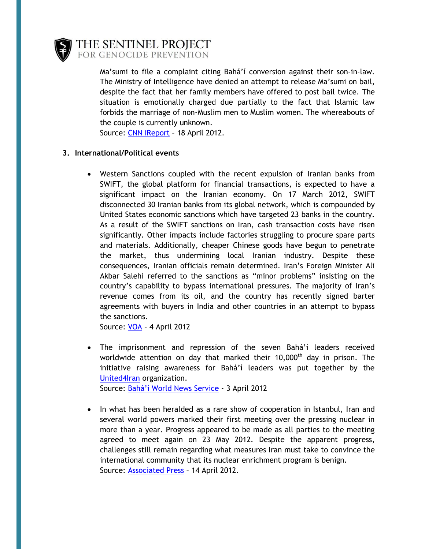

THE SENTINEL PROJECT FOR GENOCIDE PREVENTION

> Ma'sumi to file a complaint citing Bahá'í conversion against their son-in-law. The Ministry of Intelligence have denied an attempt to release Ma'sumi on bail, despite the fact that her family members have offered to post bail twice. The situation is emotionally charged due partially to the fact that Islamic law forbids the marriage of non-Muslim men to Muslim women. The whereabouts of the couple is currently unknown.

Source: [CNN iReport](http://ireport.cnn.com/docs/DOC-785340) – 18 April 2012.

## **3. International/Political events**

 Western Sanctions coupled with the recent expulsion of Iranian banks from SWIFT, the global platform for financial transactions, is expected to have a significant impact on the Iranian economy. On 17 March 2012, SWIFT disconnected 30 Iranian banks from its global network, which is compounded by United States economic sanctions which have targeted 23 banks in the country. As a result of the SWIFT sanctions on Iran, cash transaction costs have risen significantly. Other impacts include factories struggling to procure spare parts and materials. Additionally, cheaper Chinese goods have begun to penetrate the market, thus undermining local Iranian industry. Despite these consequences, Iranian officials remain determined. Iran's Foreign Minister Ali Akbar Salehi referred to the sanctions as "minor problems" insisting on the country's capability to bypass international pressures. The majority of Iran's revenue comes from its oil, and the country has recently signed barter agreements with buyers in India and other countries in an attempt to bypass the sanctions.

Source: [VOA](http://www.payvand.com/news/12/apr/1028.html?utm_source=twitterfeed&utm_medium=twitter) – 4 April 2012

- The imprisonment and repression of the seven Bahá'í leaders received worldwide attention on day that marked their  $10,000<sup>th</sup>$  day in prison. The initiative raising awareness for Bahá'í leaders was put together by the [United4Iran](http://www.united4iran.org/) organization. Source: [Bahá'í World News Service](http://www.payvand.com/news/12/apr/1019.html?utm_source=twitterfeed&utm_medium=twitter) - 3 April 2012
- In what has been heralded as a rare show of cooperation in Istanbul, Iran and several world powers marked their first meeting over the pressing nuclear in more than a year. Progress appeared to be made as all parties to the meeting agreed to meet again on 23 May 2012. Despite the apparent progress, challenges still remain regarding what measures Iran must take to convince the international community that its nuclear enrichment program is benign. Source: [Associated Press](http://www.huffingtonpost.com/2012/04/14/iran-nuclear-talks-diplom_n_1425439.html?ref=world) – 14 April 2012.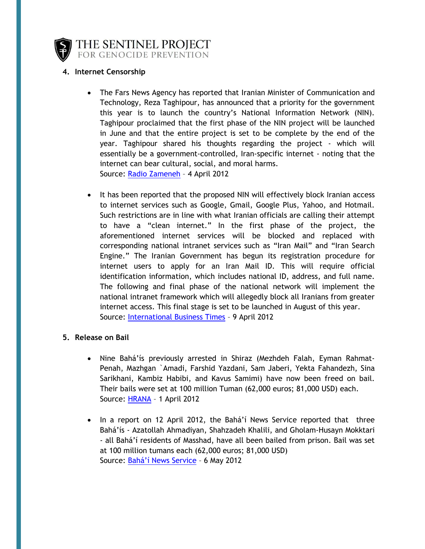

THE SENTINEL PROJECT FOR GENOCIDE PREVENTION

## **4. Internet Censorship**

- The Fars News Agency has reported that Iranian Minister of Communication and Technology, Reza Taghipour, has announced that a priority for the government this year is to launch the country's National Information Network (NIN). Taghipour proclaimed that the first phase of the NIN project will be launched in June and that the entire project is set to be complete by the end of the year. Taghipour shared his thoughts regarding the project - which will essentially be a government-controlled, Iran-specific internet - noting that the internet can bear cultural, social, and moral harms. Source: [Radio Zameneh](http://www.payvand.com/news/12/apr/1033.html?utm_source=twitterfeed&utm_medium=twitter) – 4 April 2012
- It has been reported that the proposed NIN will effectively block Iranian access to internet services such as Google, Gmail, Google Plus, Yahoo, and Hotmail. Such restrictions are in line with what Iranian officials are calling their attempt to have a "clean internet." In the first phase of the project, the aforementioned internet services will be blocked and replaced with corresponding national intranet services such as "Iran Mail" and "Iran Search Engine." The Iranian Government has begun its registration procedure for internet users to apply for an Iran Mail ID. This will require official identification information, which includes national ID, address, and full name. The following and final phase of the national network will implement the national intranet framework which will allegedly block all Iranians from greater internet access. This final stage is set to be launched in August of this year. Source: [International Business Times](http://img.ibtimes.com/www/articles/20120409/325415_iran-internet-intranet-censorhip-freedom-tehran-google.htm) – 9 April 2012

## **5. Release on Bail**

- Nine Bahá'ís previously arrested in Shiraz (Mezhdeh Falah, Eyman Rahmat-Penah, Mazhgan `Amadi, Farshid Yazdani, Sam Jaberi, Yekta Fahandezh, Sina Sarikhani, Kambiz Habibi, and Kavus Samimi) have now been freed on bail. Their bails were set at 100 million Tuman (62,000 euros; 81,000 USD) each. Source: [HRANA](http://sensday.wordpress.com/2012/05/02/nine-bahais-bailed-in-shiraz/) - 1 April 2012
- In a report on 12 April 2012, the Bahá'í News Service reported that three Bahá'ís - Azatollah Ahmadiyan, Shahzadeh Khalili, and Gholam-Husayn Mokktari - all Bahá'í residents of Masshad, have all been bailed from prison. Bail was set at 100 million tumans each (62,000 euros; 81,000 USD) Source: Bahá['í News Service](http://wp.me/pNMoJ-1i9) – 6 May 2012